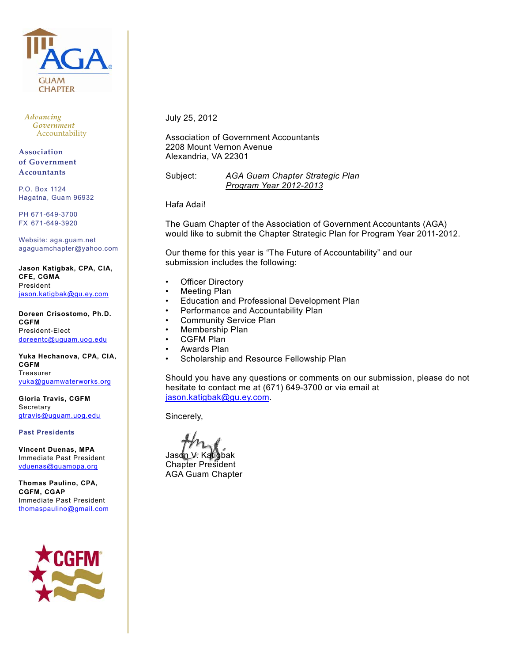

*Advancing Government* Accountability

**Associationȱȱ of Government Accountants**

P.O. Box 1124 Hagatna, Guam 96932

PH 671-649-3700 FX 671-649-3920

Website: aga.guam.net agaguamchapter@yahoo.com

**Jason Katigbak, CPA, CIA, CFE, CGMA**  President jason.katigbak@gu.ey.com

**Doreen Crisostomo, Ph.D. CGFM**  President-Elect doreentc@uguam.uog.edu

**Yuka Hechanova, CPA, CIA, CGFM**  Treasurer yuka@guamwaterworks.org

**Gloria Travis, CGFM Secretary** gtravis@uguam.uog.edu

**Past Presidents**

**Vincent Duenas, MPA**  Immediate Past President vduenas@guamopa.org

**Thomas Paulino, CPA, CGFM, CGAP**  Immediate Past President thomaspaulino@gmail.com



July 25, 2012

Association of Government Accountants 2208 Mount Vernon Avenue Alexandria, VA 22301

Subject: *AGA Guam Chapter Strategic Plan Program Year 2012-2013*

Hafa Adai!

The Guam Chapter of the Association of Government Accountants (AGA) would like to submit the Chapter Strategic Plan for Program Year 2011-2012.

Our theme for this year is "The Future of Accountability" and our submission includes the following:

- **Officer Directory**
- Meeting Plan
- Education and Professional Development Plan
- Performance and Accountability Plan
- Community Service Plan
- Membership Plan
- CGFM Plan
- Awards Plan
- Scholarship and Resource Fellowship Plan

Should you have any questions or comments on our submission, please do not hesitate to contact me at (671) 649-3700 or via email at jason.katigbak@gu.ey.com.

Sincerely,

Jason V. Katigbak Chapter President AGA Guam Chapter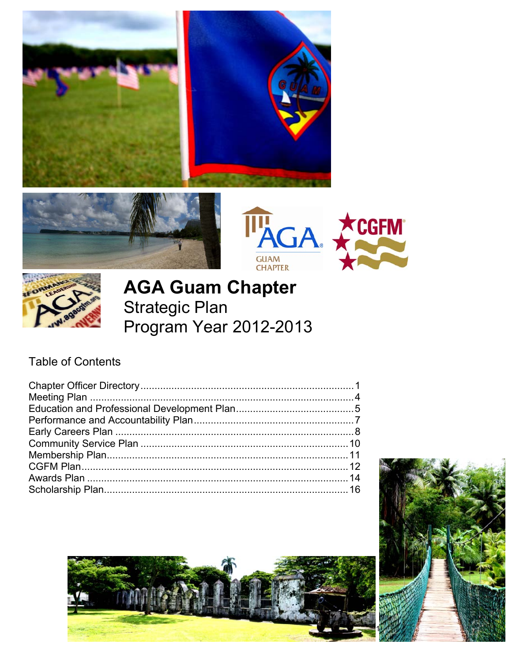







# **AGA Guam Chapter Strategic Plan** Program Year 2012-2013

### **Table of Contents**



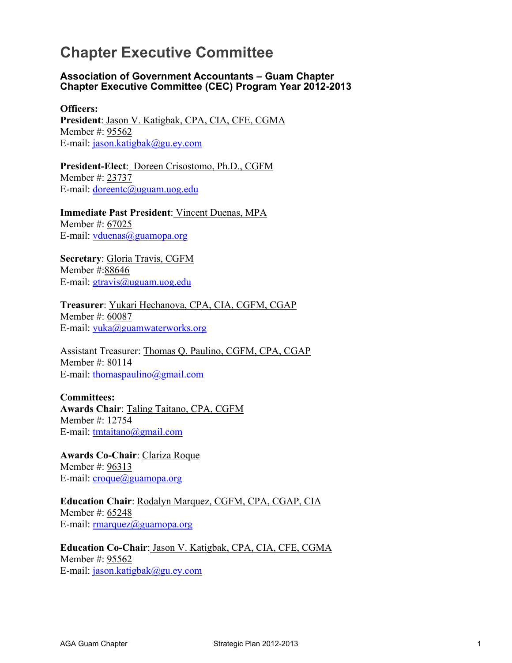### **Chapter Executive Committee**

#### **Association of Government Accountants – Guam Chapter Chapter Executive Committee (CEC) Program Year 2012-2013**

**Officers: President**: Jason V. Katigbak, CPA, CIA, CFE, CGMA Member #: 95562 E-mail: jason.katigbak@gu.ey.com

**President-Elect**: Doreen Crisostomo, Ph.D., CGFM Member #: 23737 E-mail: doreentc@uguam.uog.edu

**Immediate Past President**: Vincent Duenas, MPA Member #: 67025 E-mail:  $vduenaas@guamopa.org$ 

**Secretary**: Gloria Travis, CGFM Member #:88646 E-mail: gtravis@uguam.uog.edu

**Treasurer**: Yukari Hechanova, CPA, CIA, CGFM, CGAP Member #: 60087 E-mail: yuka@guamwaterworks.org

Assistant Treasurer: Thomas Q. Paulino, CGFM, CPA, CGAP Member #: 80114 E-mail: thomaspaulino@gmail.com

**Committees: Awards Chair**: Taling Taitano, CPA, CGFM Member #: 12754 E-mail: tmtaitano@gmail.com

**Awards Co-Chair**: Clariza Roque Member #: 96313 E-mail: croque@guamopa.org

**Education Chair**: Rodalyn Marquez, CGFM, CPA, CGAP, CIA Member #: 65248 E-mail:  $rmarquez@guamopa.org$ 

**Education Co-Chair**: Jason V. Katigbak, CPA, CIA, CFE, CGMA Member #: 95562 E-mail: jason.katigbak@gu.ey.com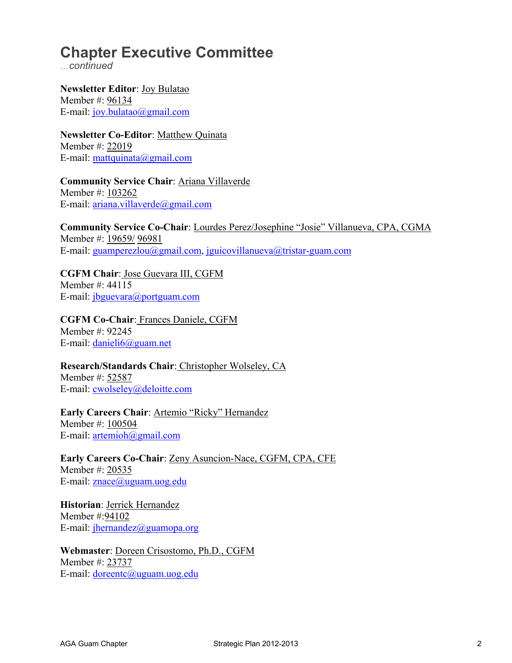# **Chapter Executive Committee**

*…continued* 

**Newsletter Editor**: Joy Bulatao Member #: 96134 E-mail: joy.bulatao@gmail.com

**Newsletter Co-Editor**: Matthew Quinata Member #: 22019 E-mail: mattquinata@gmail.com

**Community Service Chair**: Ariana Villaverde Member #: 103262 E-mail: ariana.villaverde@gmail.com

**Community Service Co-Chair**: Lourdes Perez/Josephine "Josie" Villanueva, CPA, CGMA Member #: 19659/ 96981 E-mail: guamperezlou@gmail.com, jguicovillanueva@tristar-guam.com

**CGFM Chair**: Jose Guevara III, CGFM Member #: 44115 E-mail: jbguevara@portguam.com

**CGFM Co-Chair**: Frances Daniele, CGFM Member #: 92245 E-mail: danieli6@guam.net

**Research/Standards Chair**: Christopher Wolseley, CA Member #: 52587

E-mail: cwolseley@deloitte.com

**Early Careers Chair**: Artemio "Ricky" Hernandez

Member #: 100504 E-mail: artemioh@gmail.com

**Early Careers Co-Chair**: Zeny Asuncion-Nace, CGFM, CPA, CFE Member #: 20535 E-mail: znace@uguam.uog.edu

**Historian**: Jerrick Hernandez Member #:94102 E-mail:  $ihernandez@guamopa.org$ 

**Webmaster**: Doreen Crisostomo, Ph.D., CGFM Member #: 23737 E-mail: doreentc@uguam.uog.edu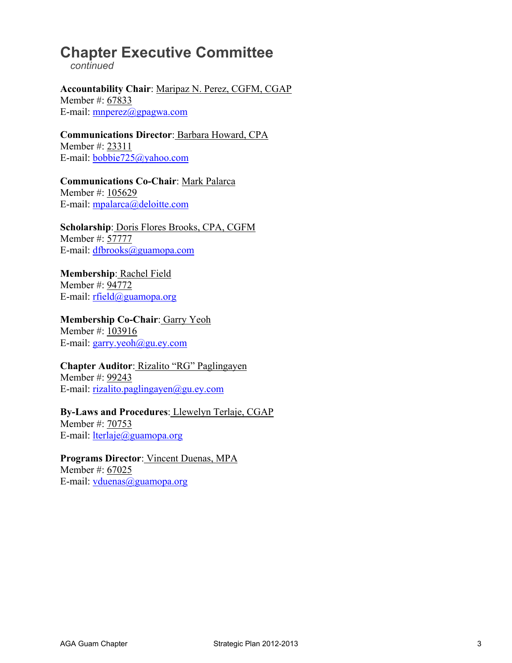## **Chapter Executive Committee**

 *continued* 

**Accountability Chair**: Maripaz N. Perez, CGFM, CGAP Member #: 67833 E-mail:  $mmerez@gpagwa.com$ 

**Communications Director**: Barbara Howard, CPA Member #: 23311 E-mail: bobbie725@yahoo.com

**Communications Co-Chair**: Mark Palarca Member #: 105629 E-mail: mpalarca@deloitte.com

**Scholarship**: Doris Flores Brooks, CPA, CGFM Member #: 57777 E-mail: dfbrooks@guamopa.com

**Membership**: Rachel Field Member #: 94772 E-mail: rfield@guamopa.org

**Membership Co-Chair**: Garry Yeoh Member #: 103916 E-mail: garry.yeoh@gu.ey.com

**Chapter Auditor**: Rizalito "RG" Paglingayen Member #: 99243 E-mail: rizalito.paglingayen@gu.ey.com

**By-Laws and Procedures**: Llewelyn Terlaje, CGAP Member #: 70753

E-mail: lterlaje@guamopa.org

**Programs Director**: Vincent Duenas, MPA Member #: 67025 E-mail: vduenas@guamopa.org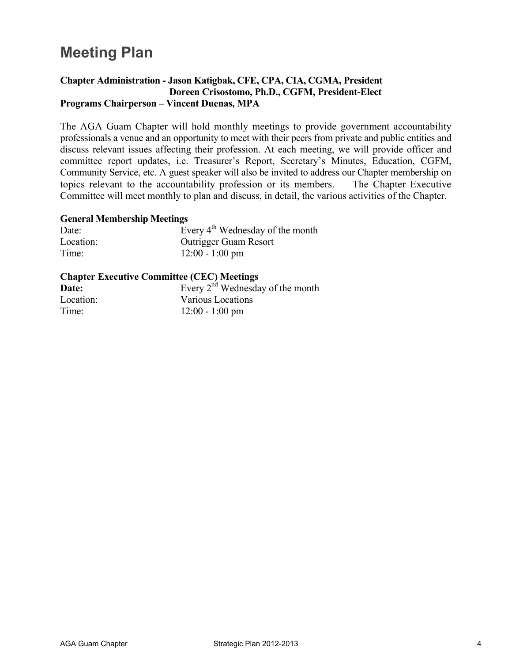# **Meeting Plan**

### **Chapter Administration - Jason Katigbak, CFE, CPA, CIA, CGMA, President Doreen Crisostomo, Ph.D., CGFM, President-Elect Programs Chairperson – Vincent Duenas, MPA**

The AGA Guam Chapter will hold monthly meetings to provide government accountability professionals a venue and an opportunity to meet with their peers from private and public entities and discuss relevant issues affecting their profession. At each meeting, we will provide officer and committee report updates, i.e. Treasurer's Report, Secretary's Minutes, Education, CGFM, Community Service, etc. A guest speaker will also be invited to address our Chapter membership on topics relevant to the accountability profession or its members. The Chapter Executive Committee will meet monthly to plan and discuss, in detail, the various activities of the Chapter.

#### **General Membership Meetings**

| Date:     | Every $4th$ Wednesday of the month |
|-----------|------------------------------------|
| Location: | <b>Outrigger Guam Resort</b>       |
| Time:     | $12:00 - 1:00$ pm                  |

### **Chapter Executive Committee (CEC) Meetings**

| Date:     | Every $2nd$ Wednesday of the month |
|-----------|------------------------------------|
| Location: | Various Locations                  |
| Time:     | $12:00 - 1:00$ pm                  |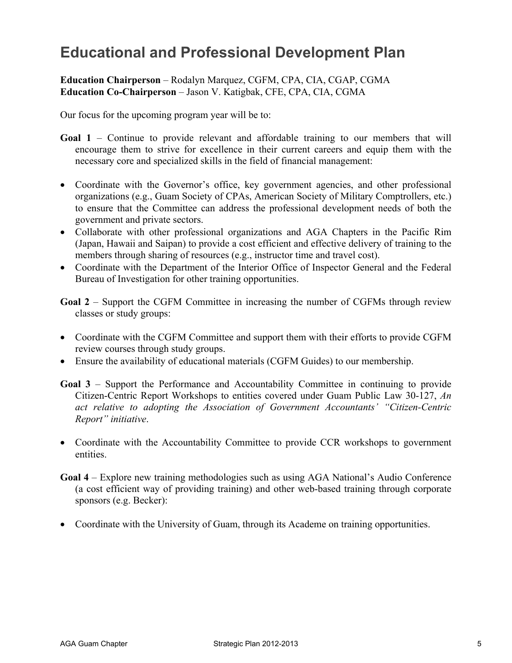### **Educational and Professional Development Plan**

### **Education Chairperson** – Rodalyn Marquez, CGFM, CPA, CIA, CGAP, CGMA **Education Co-Chairperson** – Jason V. Katigbak, CFE, CPA, CIA, CGMA

Our focus for the upcoming program year will be to:

- **Goal 1** Continue to provide relevant and affordable training to our members that will encourage them to strive for excellence in their current careers and equip them with the necessary core and specialized skills in the field of financial management:
- Coordinate with the Governor's office, key government agencies, and other professional organizations (e.g., Guam Society of CPAs, American Society of Military Comptrollers, etc.) to ensure that the Committee can address the professional development needs of both the government and private sectors.
- Collaborate with other professional organizations and AGA Chapters in the Pacific Rim (Japan, Hawaii and Saipan) to provide a cost efficient and effective delivery of training to the members through sharing of resources (e.g., instructor time and travel cost).
- Coordinate with the Department of the Interior Office of Inspector General and the Federal Bureau of Investigation for other training opportunities.

**Goal 2** – Support the CGFM Committee in increasing the number of CGFMs through review classes or study groups:

- Coordinate with the CGFM Committee and support them with their efforts to provide CGFM review courses through study groups.
- Ensure the availability of educational materials (CGFM Guides) to our membership.
- **Goal 3** Support the Performance and Accountability Committee in continuing to provide Citizen-Centric Report Workshops to entities covered under Guam Public Law 30-127, *An act relative to adopting the Association of Government Accountants' "Citizen-Centric Report" initiative*.
- Coordinate with the Accountability Committee to provide CCR workshops to government entities.
- **Goal 4** Explore new training methodologies such as using AGA National's Audio Conference (a cost efficient way of providing training) and other web-based training through corporate sponsors (e.g. Becker):
- Coordinate with the University of Guam, through its Academe on training opportunities.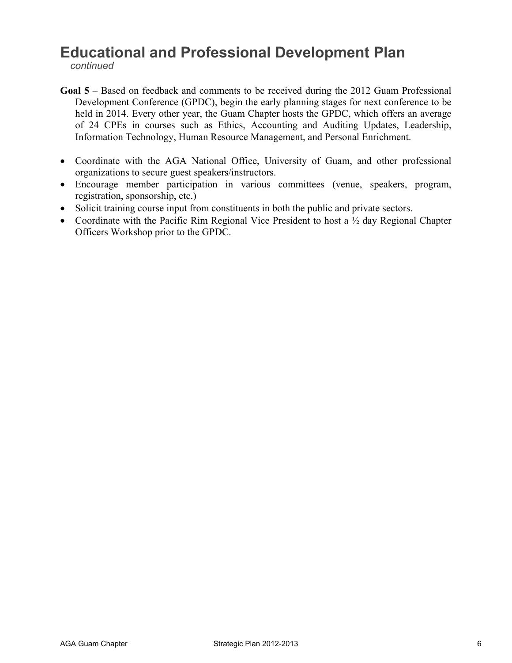### **Educational and Professional Development Plan**

*continued*

- **Goal 5** Based on feedback and comments to be received during the 2012 Guam Professional Development Conference (GPDC), begin the early planning stages for next conference to be held in 2014. Every other year, the Guam Chapter hosts the GPDC, which offers an average of 24 CPEs in courses such as Ethics, Accounting and Auditing Updates, Leadership, Information Technology, Human Resource Management, and Personal Enrichment.
- Coordinate with the AGA National Office, University of Guam, and other professional organizations to secure guest speakers/instructors.
- Encourage member participation in various committees (venue, speakers, program, registration, sponsorship, etc.)
- Solicit training course input from constituents in both the public and private sectors.
- Coordinate with the Pacific Rim Regional Vice President to host a  $\frac{1}{2}$  day Regional Chapter Officers Workshop prior to the GPDC.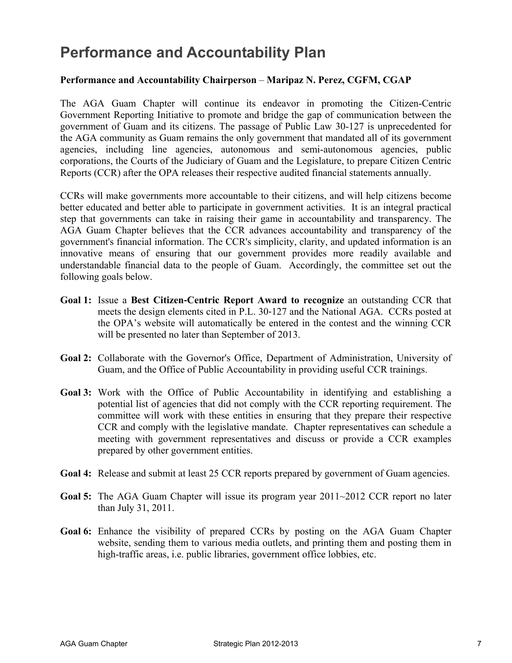### **Performance and Accountability Plan**

### **Performance and Accountability Chairperson** – **Maripaz N. Perez, CGFM, CGAP**

The AGA Guam Chapter will continue its endeavor in promoting the Citizen-Centric Government Reporting Initiative to promote and bridge the gap of communication between the government of Guam and its citizens. The passage of Public Law 30-127 is unprecedented for the AGA community as Guam remains the only government that mandated all of its government agencies, including line agencies, autonomous and semi-autonomous agencies, public corporations, the Courts of the Judiciary of Guam and the Legislature, to prepare Citizen Centric Reports (CCR) after the OPA releases their respective audited financial statements annually.

CCRs will make governments more accountable to their citizens, and will help citizens become better educated and better able to participate in government activities. It is an integral practical step that governments can take in raising their game in accountability and transparency. The AGA Guam Chapter believes that the CCR advances accountability and transparency of the government's financial information. The CCR's simplicity, clarity, and updated information is an innovative means of ensuring that our government provides more readily available and understandable financial data to the people of Guam. Accordingly, the committee set out the following goals below.

- **Goal 1:** Issue a Best Citizen-Centric Report Award to recognize an outstanding CCR that meets the design elements cited in P.L. 30-127 and the National AGA. CCRs posted at the OPA's website will automatically be entered in the contest and the winning CCR will be presented no later than September of 2013.
- **Goal 2:** Collaborate with the Governor's Office, Department of Administration, University of Guam, and the Office of Public Accountability in providing useful CCR trainings.
- **Goal 3:** Work with the Office of Public Accountability in identifying and establishing a potential list of agencies that did not comply with the CCR reporting requirement. The committee will work with these entities in ensuring that they prepare their respective CCR and comply with the legislative mandate. Chapter representatives can schedule a meeting with government representatives and discuss or provide a CCR examples prepared by other government entities.
- **Goal 4:** Release and submit at least 25 CCR reports prepared by government of Guam agencies.
- **Goal 5:** The AGA Guam Chapter will issue its program year 2011~2012 CCR report no later than July 31, 2011.
- **Goal 6:** Enhance the visibility of prepared CCRs by posting on the AGA Guam Chapter website, sending them to various media outlets, and printing them and posting them in high-traffic areas, i.e. public libraries, government office lobbies, etc.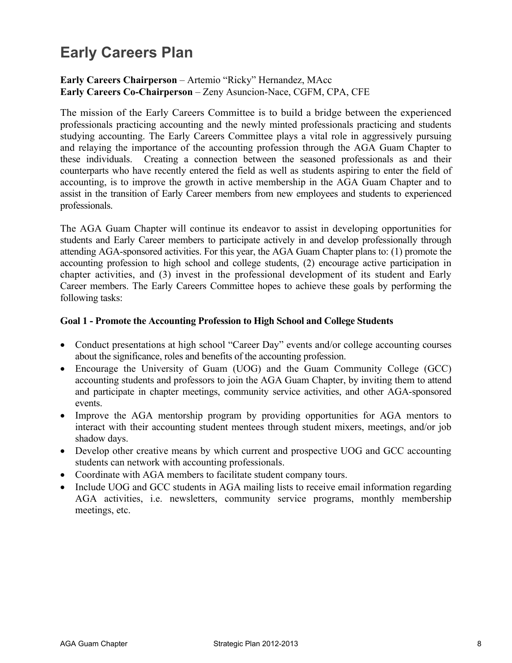# **Early Careers Plan**

### **Early Careers Chairperson** – Artemio "Ricky" Hernandez, MAcc **Early Careers Co-Chairperson** – Zeny Asuncion-Nace, CGFM, CPA, CFE

The mission of the Early Careers Committee is to build a bridge between the experienced professionals practicing accounting and the newly minted professionals practicing and students studying accounting. The Early Careers Committee plays a vital role in aggressively pursuing and relaying the importance of the accounting profession through the AGA Guam Chapter to these individuals. Creating a connection between the seasoned professionals as and their counterparts who have recently entered the field as well as students aspiring to enter the field of accounting, is to improve the growth in active membership in the AGA Guam Chapter and to assist in the transition of Early Career members from new employees and students to experienced professionals.

The AGA Guam Chapter will continue its endeavor to assist in developing opportunities for students and Early Career members to participate actively in and develop professionally through attending AGA-sponsored activities. For this year, the AGA Guam Chapter plans to: (1) promote the accounting profession to high school and college students, (2) encourage active participation in chapter activities, and (3) invest in the professional development of its student and Early Career members. The Early Careers Committee hopes to achieve these goals by performing the following tasks:

### **Goal 1 - Promote the Accounting Profession to High School and College Students**

- Conduct presentations at high school "Career Day" events and/or college accounting courses about the significance, roles and benefits of the accounting profession.
- Encourage the University of Guam (UOG) and the Guam Community College (GCC) accounting students and professors to join the AGA Guam Chapter, by inviting them to attend and participate in chapter meetings, community service activities, and other AGA-sponsored events.
- Improve the AGA mentorship program by providing opportunities for AGA mentors to interact with their accounting student mentees through student mixers, meetings, and/or job shadow days.
- Develop other creative means by which current and prospective UOG and GCC accounting students can network with accounting professionals.
- Coordinate with AGA members to facilitate student company tours.
- Include UOG and GCC students in AGA mailing lists to receive email information regarding AGA activities, i.e. newsletters, community service programs, monthly membership meetings, etc.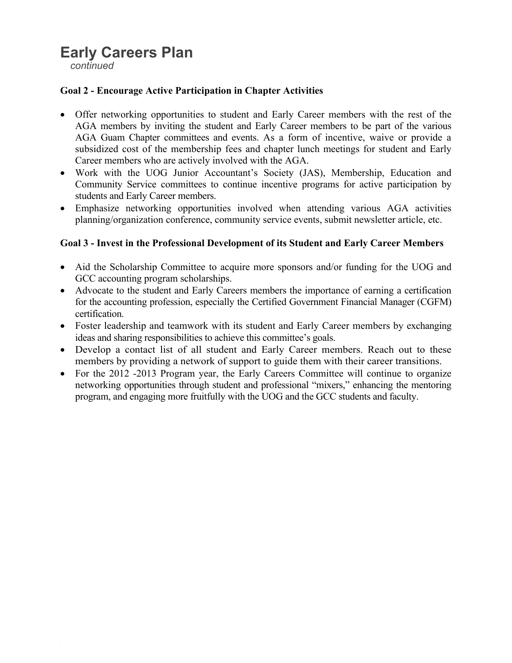### **Early Careers Plan**

 *continued* 

### **Goal 2 - Encourage Active Participation in Chapter Activities**

- Offer networking opportunities to student and Early Career members with the rest of the AGA members by inviting the student and Early Career members to be part of the various AGA Guam Chapter committees and events. As a form of incentive, waive or provide a subsidized cost of the membership fees and chapter lunch meetings for student and Early Career members who are actively involved with the AGA.
- Work with the UOG Junior Accountant's Society (JAS), Membership, Education and Community Service committees to continue incentive programs for active participation by students and Early Career members.
- Emphasize networking opportunities involved when attending various AGA activities planning/organization conference, community service events, submit newsletter article, etc.

### **Goal 3 - Invest in the Professional Development of its Student and Early Career Members**

- Aid the Scholarship Committee to acquire more sponsors and/or funding for the UOG and GCC accounting program scholarships.
- Advocate to the student and Early Careers members the importance of earning a certification for the accounting profession, especially the Certified Government Financial Manager (CGFM) certification.
- Foster leadership and teamwork with its student and Early Career members by exchanging ideas and sharing responsibilities to achieve this committee's goals.
- Develop a contact list of all student and Early Career members. Reach out to these members by providing a network of support to guide them with their career transitions.
- For the 2012 -2013 Program year, the Early Careers Committee will continue to organize networking opportunities through student and professional "mixers," enhancing the mentoring program, and engaging more fruitfully with the UOG and the GCC students and faculty.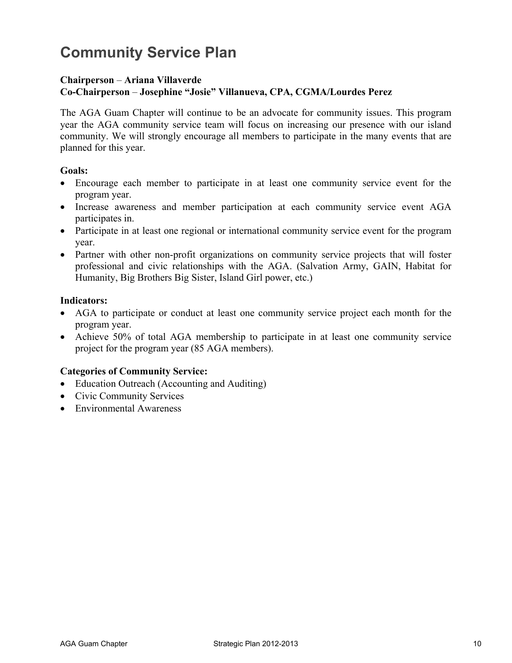# **Community Service Plan**

#### **Chairperson** – **Ariana Villaverde Co-Chairperson** – **Josephine "Josie" Villanueva, CPA, CGMA/Lourdes Perez**

The AGA Guam Chapter will continue to be an advocate for community issues. This program year the AGA community service team will focus on increasing our presence with our island community. We will strongly encourage all members to participate in the many events that are planned for this year.

### **Goals:**

- x Encourage each member to participate in at least one community service event for the program year.
- Increase awareness and member participation at each community service event AGA participates in.
- Participate in at least one regional or international community service event for the program year.
- Partner with other non-profit organizations on community service projects that will foster professional and civic relationships with the AGA. (Salvation Army, GAIN, Habitat for Humanity, Big Brothers Big Sister, Island Girl power, etc.)

### **Indicators:**

- AGA to participate or conduct at least one community service project each month for the program year.
- Achieve  $50\%$  of total AGA membership to participate in at least one community service project for the program year (85 AGA members).

### **Categories of Community Service:**

- $\bullet$  Education Outreach (Accounting and Auditing)
- Civic Community Services
- Environmental Awareness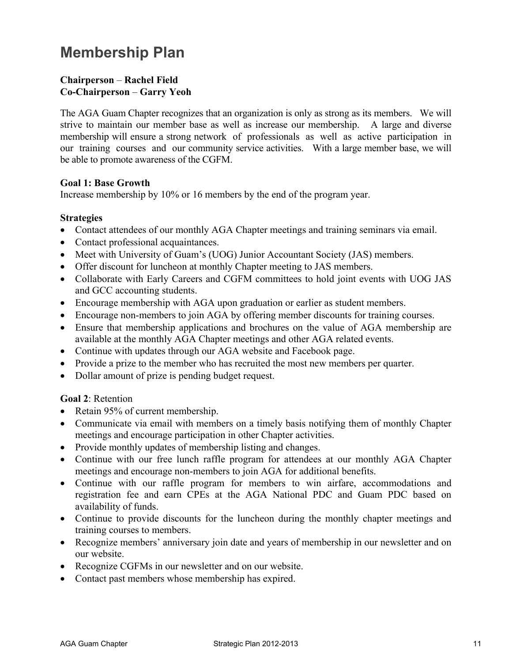# **Membership Plan**

### **Chairperson** – **Rachel Field Co-Chairperson** – **Garry Yeoh**

The AGA Guam Chapter recognizes that an organization is only as strong as its members. We will strive to maintain our member base as well as increase our membership. A large and diverse membership will ensure a strong network of professionals as well as active participation in our training courses and our community service activities. With a large member base, we will be able to promote awareness of the CGFM.

### **Goal 1: Base Growth**

Increase membership by 10% or 16 members by the end of the program year.

### **Strategies**

- Contact attendees of our monthly AGA Chapter meetings and training seminars via email.
- Contact professional acquaintances.
- Meet with University of Guam's (UOG) Junior Accountant Society (JAS) members.
- Offer discount for luncheon at monthly Chapter meeting to JAS members.
- Collaborate with Early Careers and CGFM committees to hold joint events with UOG JAS and GCC accounting students.
- Encourage membership with AGA upon graduation or earlier as student members.
- Encourage non-members to join AGA by offering member discounts for training courses.
- Ensure that membership applications and brochures on the value of AGA membership are available at the monthly AGA Chapter meetings and other AGA related events.
- Continue with updates through our AGA website and Facebook page.
- Provide a prize to the member who has recruited the most new members per quarter.
- Dollar amount of prize is pending budget request.

### **Goal 2**: Retention

- Retain  $95%$  of current membership.
- Communicate via email with members on a timely basis notifying them of monthly Chapter meetings and encourage participation in other Chapter activities.
- Provide monthly updates of membership listing and changes.
- Continue with our free lunch raffle program for attendees at our monthly AGA Chapter meetings and encourage non-members to join AGA for additional benefits.
- Continue with our raffle program for members to win airfare, accommodations and registration fee and earn CPEs at the AGA National PDC and Guam PDC based on availability of funds.
- Continue to provide discounts for the luncheon during the monthly chapter meetings and training courses to members.
- Recognize members' anniversary join date and years of membership in our newsletter and on our website.
- Recognize CGFMs in our newsletter and on our website.
- Contact past members whose membership has expired.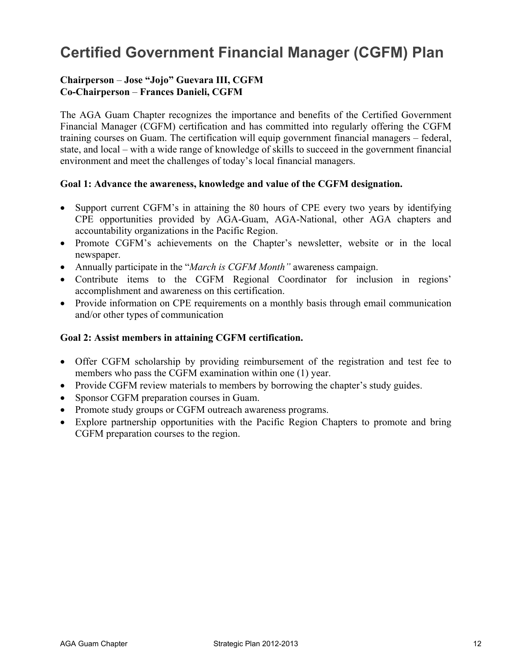# **Certified Government Financial Manager (CGFM) Plan**

### **Chairperson** – **Jose "Jojo" Guevara III, CGFM Co-Chairperson** – **Frances Danieli, CGFM**

The AGA Guam Chapter recognizes the importance and benefits of the Certified Government Financial Manager (CGFM) certification and has committed into regularly offering the CGFM training courses on Guam. The certification will equip government financial managers – federal, state, and local – with a wide range of knowledge of skills to succeed in the government financial environment and meet the challenges of today's local financial managers.

### **Goal 1: Advance the awareness, knowledge and value of the CGFM designation.**

- Support current CGFM's in attaining the 80 hours of CPE every two years by identifying CPE opportunities provided by AGA-Guam, AGA-National, other AGA chapters and accountability organizations in the Pacific Region.
- x Promote CGFM's achievements on the Chapter's newsletter, website or in the local newspaper.
- Annually participate in the "*March is CGFM Month*" awareness campaign.
- Contribute items to the CGFM Regional Coordinator for inclusion in regions' accomplishment and awareness on this certification.
- Provide information on CPE requirements on a monthly basis through email communication and/or other types of communication

### **Goal 2: Assist members in attaining CGFM certification.**

- Offer CGFM scholarship by providing reimbursement of the registration and test fee to members who pass the CGFM examination within one (1) year.
- Provide CGFM review materials to members by borrowing the chapter's study guides.
- Sponsor CGFM preparation courses in Guam.
- Promote study groups or CGFM outreach awareness programs.
- Explore partnership opportunities with the Pacific Region Chapters to promote and bring CGFM preparation courses to the region.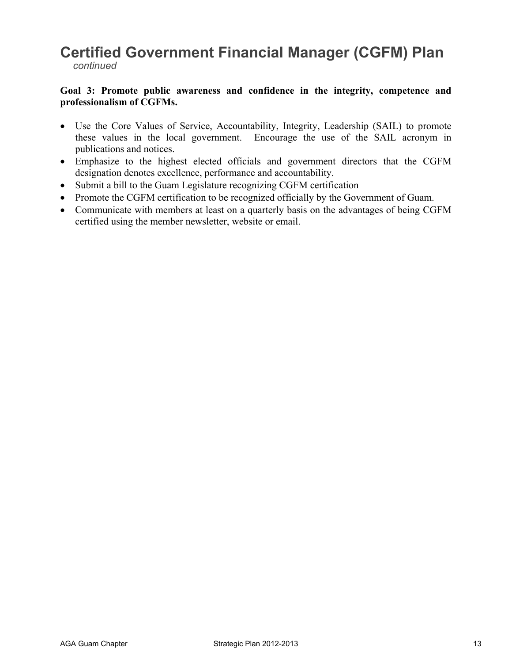### **Certified Government Financial Manager (CGFM) Plan**   *continued*

#### **Goal 3: Promote public awareness and confidence in the integrity, competence and professionalism of CGFMs.**

- Use the Core Values of Service, Accountability, Integrity, Leadership (SAIL) to promote these values in the local government. Encourage the use of the SAIL acronym in publications and notices.
- Emphasize to the highest elected officials and government directors that the CGFM designation denotes excellence, performance and accountability.
- Submit a bill to the Guam Legislature recognizing CGFM certification
- Promote the CGFM certification to be recognized officially by the Government of Guam.
- Communicate with members at least on a quarterly basis on the advantages of being CGFM certified using the member newsletter, website or email.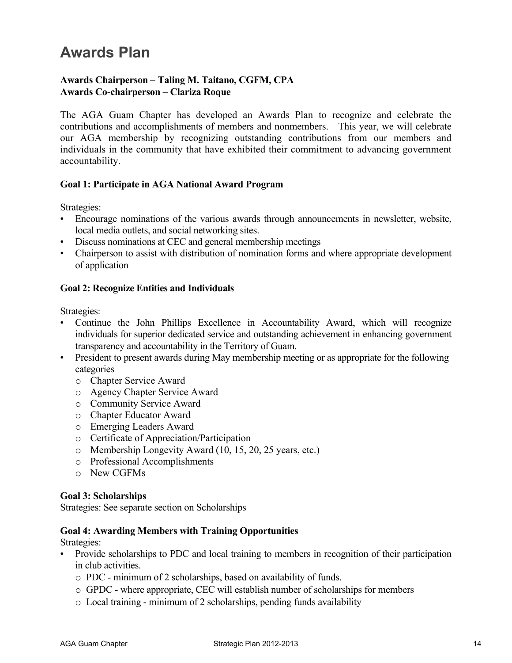### **Awards Plan**

### **Awards Chairperson** – **Taling M. Taitano, CGFM, CPA Awards Co-chairperson** – **Clariza Roque**

The AGA Guam Chapter has developed an Awards Plan to recognize and celebrate the contributions and accomplishments of members and nonmembers. This year, we will celebrate our AGA membership by recognizing outstanding contributions from our members and individuals in the community that have exhibited their commitment to advancing government accountability.

### **Goal 1: Participate in AGA National Award Program**

Strategies:

- Encourage nominations of the various awards through announcements in newsletter, website, local media outlets, and social networking sites.
- Discuss nominations at CEC and general membership meetings
- Chairperson to assist with distribution of nomination forms and where appropriate development of application

### **Goal 2: Recognize Entities and Individuals**

Strategies:

- Continue the John Phillips Excellence in Accountability Award, which will recognize individuals for superior dedicated service and outstanding achievement in enhancing government transparency and accountability in the Territory of Guam.
- President to present awards during May membership meeting or as appropriate for the following categories
	- o Chapter Service Award
	- o Agency Chapter Service Award
	- o Community Service Award
	- o Chapter Educator Award
	- o Emerging Leaders Award
	- o Certificate of Appreciation/Participation
	- o Membership Longevity Award (10, 15, 20, 25 years, etc.)
	- o Professional Accomplishments
	- o New CGFMs

#### **Goal 3: Scholarships**

Strategies: See separate section on Scholarships

#### **Goal 4: Awarding Members with Training Opportunities**

Strategies:

- Provide scholarships to PDC and local training to members in recognition of their participation in club activities.
	- o PDC minimum of 2 scholarships, based on availability of funds.
	- o GPDC where appropriate, CEC will establish number of scholarships for members
	- o Local training minimum of 2 scholarships, pending funds availability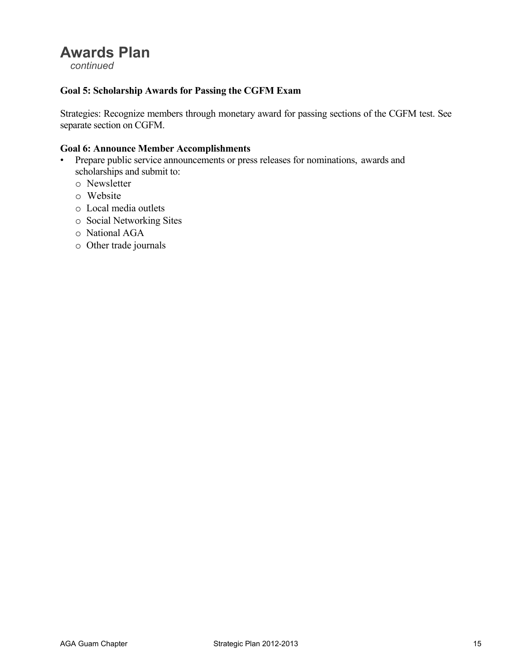### **Awards Plan**

 *continued* 

### **Goal 5: Scholarship Awards for Passing the CGFM Exam**

Strategies: Recognize members through monetary award for passing sections of the CGFM test. See separate section on CGFM.

#### **Goal 6: Announce Member Accomplishments**

- Prepare public service announcements or press releases for nominations, awards and scholarships and submit to:
	- o Newsletter
	- o Website
	- o Local media outlets
	- o Social Networking Sites
	- o National AGA
	- o Other trade journals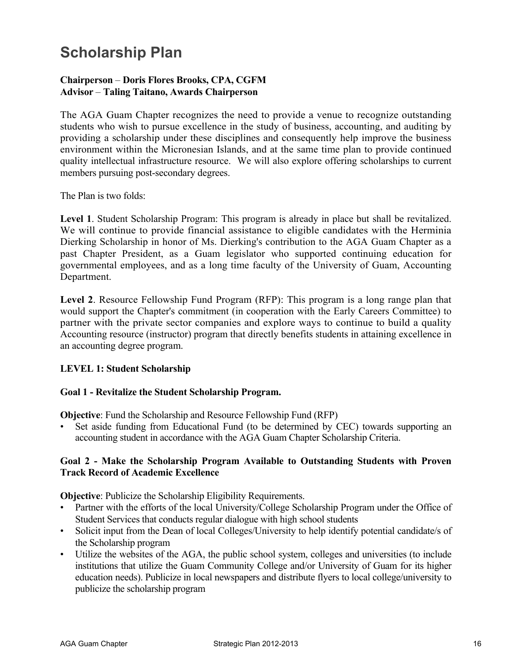# **Scholarship Plan**

### **Chairperson** – **Doris Flores Brooks, CPA, CGFM Advisor** – **Taling Taitano, Awards Chairperson**

The AGA Guam Chapter recognizes the need to provide a venue to recognize outstanding students who wish to pursue excellence in the study of business, accounting, and auditing by providing a scholarship under these disciplines and consequently help improve the business environment within the Micronesian Islands, and at the same time plan to provide continued quality intellectual infrastructure resource. We will also explore offering scholarships to current members pursuing post-secondary degrees.

The Plan is two folds:

**Level 1**. Student Scholarship Program: This program is already in place but shall be revitalized. We will continue to provide financial assistance to eligible candidates with the Herminia Dierking Scholarship in honor of Ms. Dierking's contribution to the AGA Guam Chapter as a past Chapter President, as a Guam legislator who supported continuing education for governmental employees, and as a long time faculty of the University of Guam, Accounting Department.

**Level 2**. Resource Fellowship Fund Program (RFP): This program is a long range plan that would support the Chapter's commitment (in cooperation with the Early Careers Committee) to partner with the private sector companies and explore ways to continue to build a quality Accounting resource (instructor) program that directly benefits students in attaining excellence in an accounting degree program.

### **LEVEL 1: Student Scholarship**

#### **Goal 1 - Revitalize the Student Scholarship Program.**

**Objective**: Fund the Scholarship and Resource Fellowship Fund (RFP)

Set aside funding from Educational Fund (to be determined by CEC) towards supporting an accounting student in accordance with the AGA Guam Chapter Scholarship Criteria.

### **Goal 2 - Make the Scholarship Program Available to Outstanding Students with Proven Track Record of Academic Excellence**

**Objective**: Publicize the Scholarship Eligibility Requirements.

- Partner with the efforts of the local University/College Scholarship Program under the Office of Student Services that conducts regular dialogue with high school students
- Solicit input from the Dean of local Colleges/University to help identify potential candidate/s of the Scholarship program
- Utilize the websites of the AGA, the public school system, colleges and universities (to include institutions that utilize the Guam Community College and/or University of Guam for its higher education needs). Publicize in local newspapers and distribute flyers to local college/university to publicize the scholarship program